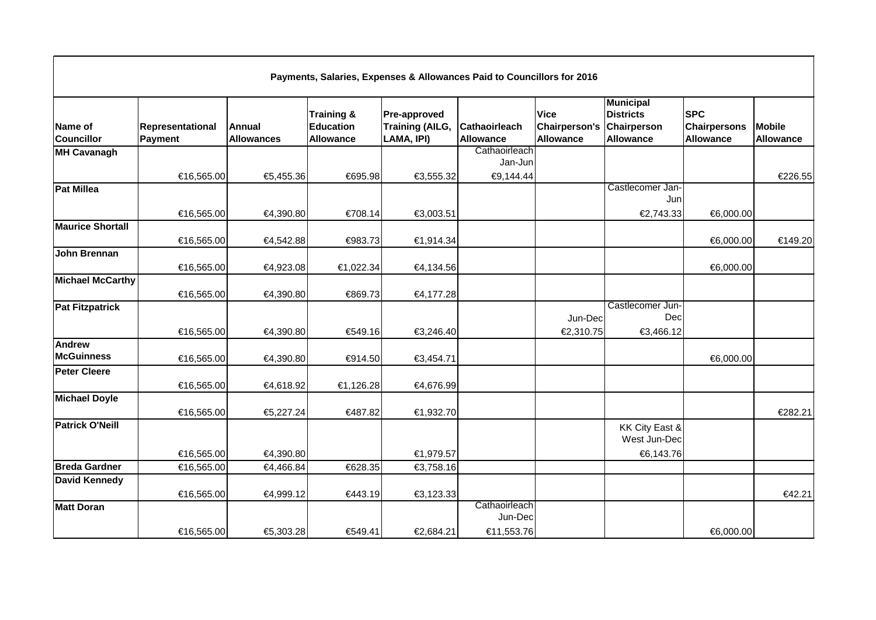| Payments, Salaries, Expenses & Allowances Paid to Councillors for 2016 |                             |                                    |                                                               |                                                             |                                          |                                           |                                                                         |                                                       |                                   |  |
|------------------------------------------------------------------------|-----------------------------|------------------------------------|---------------------------------------------------------------|-------------------------------------------------------------|------------------------------------------|-------------------------------------------|-------------------------------------------------------------------------|-------------------------------------------------------|-----------------------------------|--|
| Name of<br><b>Councillor</b>                                           | Representational<br>Payment | <b>Annual</b><br><b>Allowances</b> | <b>Training &amp;</b><br><b>Education</b><br><b>Allowance</b> | <b>Pre-approved</b><br><b>Training (AILG,</b><br>LAMA, IPI) | <b>Cathaoirleach</b><br><b>Allowance</b> | <b>Vice</b><br>Chairperson's<br>Allowance | <b>Municipal</b><br><b>Districts</b><br>Chairperson<br><b>Allowance</b> | <b>SPC</b><br><b>Chairpersons</b><br><b>Allowance</b> | <b>Mobile</b><br><b>Allowance</b> |  |
| MH Cavanagh                                                            |                             |                                    |                                                               |                                                             | Cathaoirleach                            |                                           |                                                                         |                                                       |                                   |  |
|                                                                        | €16,565.00                  | €5,455.36                          | €695.98                                                       | €3,555.32                                                   | Jan-Jun<br>€9,144.44                     |                                           |                                                                         |                                                       | €226.55                           |  |
| <b>Pat Millea</b>                                                      |                             |                                    |                                                               |                                                             |                                          |                                           | Castlecomer Jan-<br>Jun                                                 |                                                       |                                   |  |
|                                                                        | €16,565.00                  | €4,390.80                          | €708.14                                                       | €3,003.51                                                   |                                          |                                           | €2,743.33                                                               | €6,000.00                                             |                                   |  |
| <b>Maurice Shortall</b>                                                | €16,565.00                  | €4,542.88                          | €983.73                                                       | €1,914.34                                                   |                                          |                                           |                                                                         | €6,000.00                                             | €149.20                           |  |
| John Brennan                                                           | €16,565.00                  | €4,923.08                          | €1,022.34                                                     | €4,134.56                                                   |                                          |                                           |                                                                         | €6,000.00                                             |                                   |  |
| <b>Michael McCarthy</b>                                                | €16,565.00                  | €4,390.80                          | €869.73                                                       | €4,177.28                                                   |                                          |                                           |                                                                         |                                                       |                                   |  |
| <b>Pat Fitzpatrick</b>                                                 | €16,565.00                  | €4,390.80                          | €549.16                                                       | €3,246.40                                                   |                                          | Jun-Dec<br>€2,310.75                      | Castlecomer Jun-<br>Dec<br>€3,466.12                                    |                                                       |                                   |  |
| Andrew<br><b>McGuinness</b>                                            | €16,565.00                  | €4,390.80                          | €914.50                                                       | €3,454.71                                                   |                                          |                                           |                                                                         | €6,000.00                                             |                                   |  |
| <b>Peter Cleere</b>                                                    | €16,565.00                  | €4,618.92                          | €1,126.28                                                     | €4,676.99                                                   |                                          |                                           |                                                                         |                                                       |                                   |  |
| <b>Michael Doyle</b>                                                   | €16,565.00                  | €5,227.24                          | €487.82                                                       | €1,932.70                                                   |                                          |                                           |                                                                         |                                                       | €282.21                           |  |
| <b>Patrick O'Neill</b>                                                 |                             |                                    |                                                               |                                                             |                                          |                                           | KK City East &<br>West Jun-Dec                                          |                                                       |                                   |  |
|                                                                        | €16,565.00                  | €4,390.80                          |                                                               | €1,979.57                                                   |                                          |                                           | €6,143.76                                                               |                                                       |                                   |  |
| <b>Breda Gardner</b>                                                   | €16,565.00                  | €4,466.84                          | €628.35                                                       | €3,758.16                                                   |                                          |                                           |                                                                         |                                                       |                                   |  |
| <b>David Kennedy</b>                                                   | €16,565.00                  | €4,999.12                          | €443.19                                                       | €3,123.33                                                   |                                          |                                           |                                                                         |                                                       | €42.21                            |  |
| <b>Matt Doran</b>                                                      |                             |                                    |                                                               |                                                             | Cathaoirleach<br>Jun-Dec                 |                                           |                                                                         |                                                       |                                   |  |
|                                                                        | €16,565.00                  | €5,303.28                          | €549.41                                                       | €2,684.21                                                   | €11,553.76                               |                                           |                                                                         | €6,000.00                                             |                                   |  |